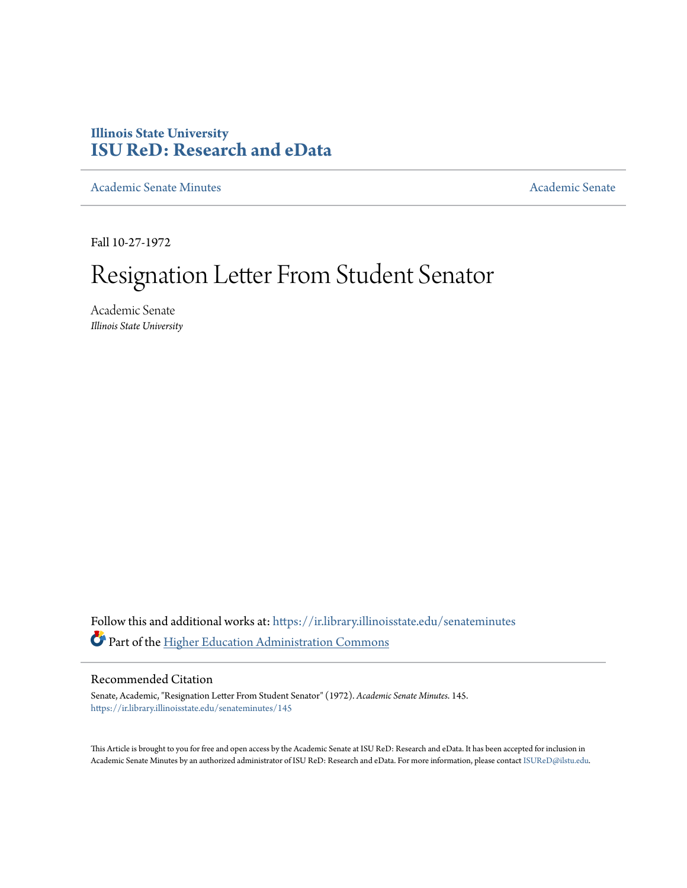## **Illinois State University [ISU ReD: Research and eData](https://ir.library.illinoisstate.edu?utm_source=ir.library.illinoisstate.edu%2Fsenateminutes%2F145&utm_medium=PDF&utm_campaign=PDFCoverPages)**

[Academic Senate Minutes](https://ir.library.illinoisstate.edu/senateminutes?utm_source=ir.library.illinoisstate.edu%2Fsenateminutes%2F145&utm_medium=PDF&utm_campaign=PDFCoverPages) [Academic Senate](https://ir.library.illinoisstate.edu/senate?utm_source=ir.library.illinoisstate.edu%2Fsenateminutes%2F145&utm_medium=PDF&utm_campaign=PDFCoverPages) Academic Senate

Fall 10-27-1972

## Resignation Letter From Student Senator

Academic Senate *Illinois State University*

Follow this and additional works at: [https://ir.library.illinoisstate.edu/senateminutes](https://ir.library.illinoisstate.edu/senateminutes?utm_source=ir.library.illinoisstate.edu%2Fsenateminutes%2F145&utm_medium=PDF&utm_campaign=PDFCoverPages) Part of the [Higher Education Administration Commons](http://network.bepress.com/hgg/discipline/791?utm_source=ir.library.illinoisstate.edu%2Fsenateminutes%2F145&utm_medium=PDF&utm_campaign=PDFCoverPages)

## Recommended Citation

Senate, Academic, "Resignation Letter From Student Senator" (1972). *Academic Senate Minutes*. 145. [https://ir.library.illinoisstate.edu/senateminutes/145](https://ir.library.illinoisstate.edu/senateminutes/145?utm_source=ir.library.illinoisstate.edu%2Fsenateminutes%2F145&utm_medium=PDF&utm_campaign=PDFCoverPages)

This Article is brought to you for free and open access by the Academic Senate at ISU ReD: Research and eData. It has been accepted for inclusion in Academic Senate Minutes by an authorized administrator of ISU ReD: Research and eData. For more information, please contact [ISUReD@ilstu.edu.](mailto:ISUReD@ilstu.edu)